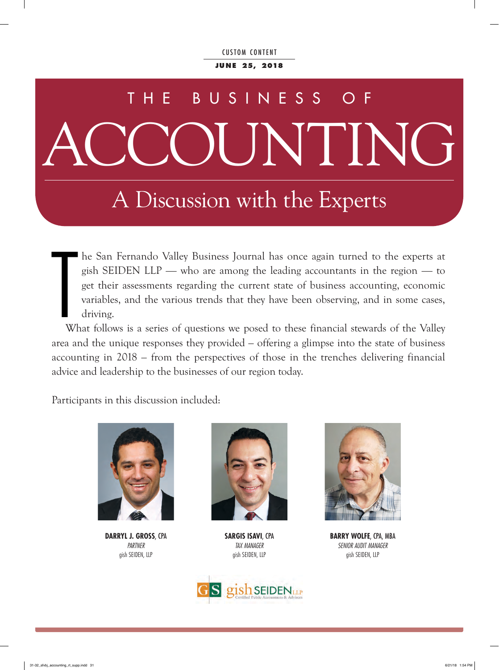**Ju n e 25, 2018**

# ACCOUNTING THE BUSINESS

### A Discussion with the Experts

he San Fernando Valley Business Journal has once again turned to the experts at gish SEIDEN LLP — who are among the leading accountants in the region — to get their assessments regarding the current state of business accounting, economic variables, and the various trends that they have been observing, and in some cases, driving.

W What follows is a series of questions we posed to these financial stewards of the Valley area and the unique responses they provided – offering a glimpse into the state of business accounting in 2018 – from the perspectives of those in the trenches delivering financial advice and leadership to the businesses of our region today.

Participants in this discussion included:



**DARRYL J. GROSS**, CPA *PARTNER* gish SEIDEN, LLP



**SARGIS ISAVI**, CPA *TAX MANAGER* gish SEIDEN, LLP





**BARRY WOLFE**, CPA, MBA *SENIOR AUDIT MANAGER*  gish SEIDEN, LLP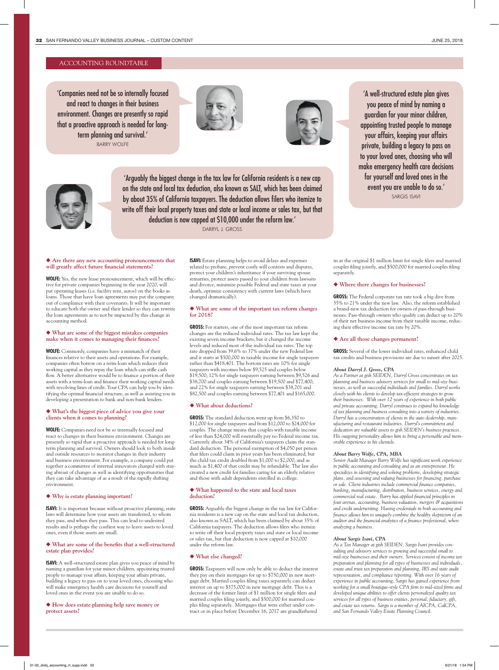#### ACCOUNTING ROUNDTABLE

'Companies need not be so internally focused and react to changes in their business environment. Changes are presently so rapid that a proactive approach is needed for longterm planning and survival.' BARRY WOLFE







'Arguably the biggest change in the tax law for California residents is a new cap on the state and local tax deduction, also known as SALT, which has been claimed by about 35% of California taxpayers. The deduction allows filers who itemize to write off their local property taxes and state or local income or sales tax, but that deduction is now capped at \$10,000 under the reform law.' DARRYL J. GROSS

◆ Are there any new accounting pronouncements that **will greatly affect future financial statements?** 

**WOLFE:** Yes, the new lease pronouncement, which will be effective for private companies beginning in the year 2020, will put operating leases (i.e. facility rent, autos) on the books as loans. Those that have loan agreements may put the company out of compliance with their covenants. It will be important to educate both the owner and their lender so they can rewrite the loan agreements as to not be impacted by this change in accounting method.

#### u **What are some of the biggest mistakes companies make when it comes to managing their finances?**

**WOLFE:** Commonly, companies have a mismatch of their finances relative to their assets and operations. For example, companies often borrow on a term-loan which reduces their working capital as they repay the loan which can stifle cash flow. A better alternative would be to finance a portion of their assets with a term-loan and finance their working capital needs with revolving lines of credit. Your CPA can help you by identifying the optimal financial structure, as well as assisting you in developing a presentation to bank and non-bank lenders.

#### u **What's the biggest piece of advice you give your clients when it comes to planning?**

**WOLFE:** Companies need not be so internally focused and react to changes in their business environment. Changes are presently so rapid that a proactive approach is needed for longterm planning and survival. Owners should look to both inside and outside resources to monitor changes in their industry and business environment. For example, a company could put together a committee of internal innovators charged with staying abreast of changes as well as identifying opportunities that they can take advantage of as a result of the rapidly shifting environment.

#### u **Why is estate planning important?**

**ISAVI:** It is important because without proactive planning, state laws will determine how your assets are transferred, to whom they pass, and when they pass. This can lead to undesired results and is perhaps the costliest way to leave assets to loved ones, even if those assets are small.

#### u **What are some of the benefits that a well-structured estate plan provides?**

**ISAVI:** A well-structured estate plan gives you peace of mind by naming a guardian for your minor children, appointing trusted people to manage your affairs, keeping your affairs private, building a legacy to pass on to your loved ones, choosing who will make emergency health care decisions for yourself and loved ones in the event you are unable to do so.

◆ How does estate planning help save money or **protect assets?** 

**ISAVI:** Estate planning helps to avoid delays and expenses related to probate, prevent costly will contests and disputes, protect your children's inheritance if your surviving spouse remarries, protect assets passed to your children from lawsuits and divorce, minimize possible Federal and state taxes at your death, optimize consistency with current laws (which have changed dramatically).

#### u **What are some of the important tax reform changes for 2018?**

**GROSS:** For starters, one of the most important tax reform changes are the reduced individual rates. The tax law kept the existing seven income brackets, but it changed the income levels and reduced most of the individual tax rates. The top rate dropped from 39.6% to 37% under the new Federal law and it starts at \$500,000 in taxable income for single taxpayers rather than \$418,401. The bottom rates are 10% for single taxpayers with incomes below \$9,525 and couples below \$19,500; 12% for single taxpayers earning between \$9,526 and \$38,700 and couples earning between \$19,500 and \$77,400; and 22% for single taxpayers earning between \$38,701 and \$82,500 and couples earning between \$77,401 and \$165,000.

#### u **What about deductions?**

**GROSS:** The standard deduction went up from \$6,350 to \$12,000 for single taxpayers and from \$12,000 to \$24,000 for couples. The change means that couples with taxable income of less than \$24,000 will essentially pay no Federal income tax. Currently about 34% of California's taxpayers claim the standard deduction. The personal exemption of \$4,050 per person that filers could claim in prior years has been eliminated, but the child tax credit doubled from \$1,000 to \$2,000, and as much as \$1,400 of that credit may be refundable. The law also created a new credit for families caring for an elderly relative and those with adult dependents enrolled in college.

#### u **What happened to the state and local taxes deduction?**

**GROSS:** Arguably the biggest change in the tax law for California residents is a new cap on the state and local tax deduction, also known as SALT, which has been claimed by about 35% of California taxpayers. The deduction allows filers who itemize to write off their local property taxes and state or local income or sales tax, but that deduction is now capped at \$10,000 under the reform law.

#### ◆ What else changed?

**GROSS:** Taxpayers will now only be able to deduct the interest they pay on their mortgages for up to \$750,000 in new mortgage debt. Married couples filing taxes separately can deduct interest on up to \$375,000 in new mortgage debt. This is a decrease of the former limit of \$1 million for single filers and married couples filing jointly, and \$500,000 for married couples filing separately. Mortgages that were either under contract or in place before December 16, 2017 are grandfathered

'A well-structured estate plan gives you peace of mind by naming a guardian for your minor children, appointing trusted people to manage your affairs, keeping your affairs private, building a legacy to pass on to your loved ones, choosing who will make emergency health care decisions for yourself and loved ones in the event you are unable to do so.' SARGIS ISAVI

in at the original \$1 million limit for single filers and married couples filing jointly, and \$500,000 for married couples filing separately.

#### u **Where there changes for businesses?**

**GROSS:** The Federal corporate tax rate took a big dive from 35% to 21% under the new law. Also, the reform established a brand-new tax deduction for owners of pass-through businesses. Pass-through owners who qualify can deduct up to 20% of their net business income from their taxable income, reducing their effective income tax rate by 20%.

#### u **Are all those changes permanent?**

**GROSS:** Several of the lower individual rates, enhanced child tax credits and business provisions are due to sunset after 2025.

#### *About Darryl J. Gross, CPA*

*As a Partner at gish SEIDEN, Darryl Gross concentrates on tax planning and business advisory services for small to mid-size businesses, as well as successful individuals and families. Darryl works closely with his clients to develop tax-efficient strategies to grow their businesses. With over 12 years of experience in both public and private accounting, Darryl continues to expand his knowledge of tax planning and business consulting into a variety of industries. Darryl has a concentration of clients in the auto dealership, manufacturing and restaurant industries. Darryl's commitment and dedication are valuable assets to gish SEIDEN's business practices. His outgoing personality allows him to bring a personable and memorable experience to his clientele.*

#### *About Barry Wolfe, CPA, MBA*

*Senior Audit Manager Barry Wolfe has significant work experience in public accounting and consulting and as an entrepreneur. He specializes in identifying and solving problems, developing strategic plans, and assessing and valuing businesses for financing, purchase or sale. Client industries include commercial finance companies, banking, manufacturing, distribution, business services, energy and commercial real estate. Barry has applied financial principles in four arenas, accounting, business valuation, mergers & acquisitions and credit underwriting. Having credentials in both accounting and finance allows him to uniquely combine the healthy skepticism of an auditor and the financial analytics of a finance professional, when analyzing a business.*

#### *About Sargis Isavi, CPA*

*As a Tax Manager at gish SEIDEN, Sargis Isavi provides consulting and advisory services to growing and successful small to mid-size businesses and their owners. Services consist of income tax preparation and planning for all types of businesses and individuals, estate and trust tax preparation and planning, IRS and state audit representation, and compliance reporting. With over 16 years of experience in public accounting, Sargis has gained experience from working for a small boutique-style CPA firm to mid-sized firms and developed unique abilities to offer clients personalized quality tax services for all types of business entities, personal, fiduciary, gift, and estate tax returns. Sargis is a member of AICPA, CalCPA, and San Fernando Valley Estate Planning Council.*